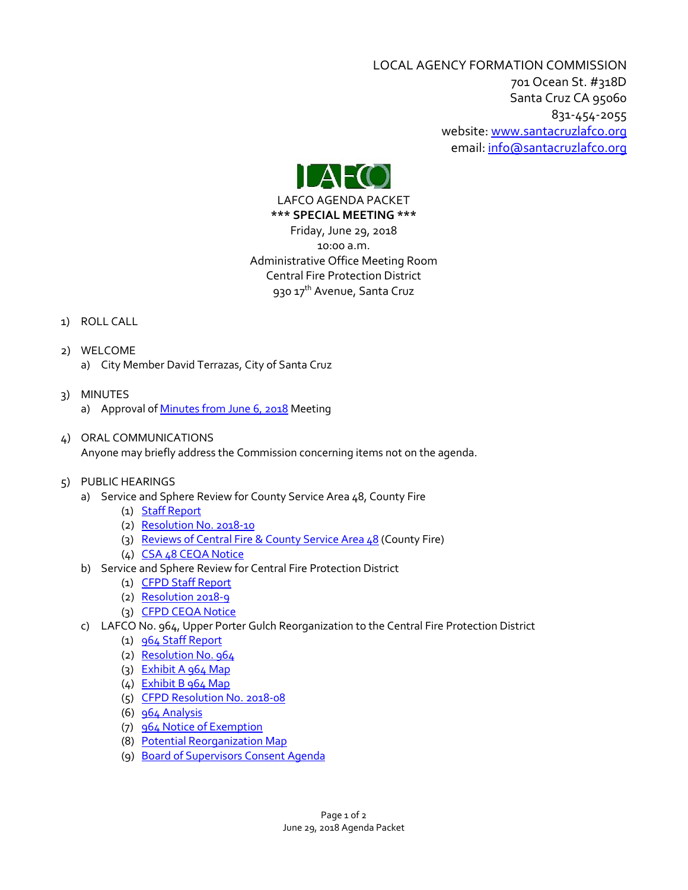LOCAL AGENCY FORMATION COMMISSION 701 Ocean St. #318D Santa Cruz CA 95060 831-454-2055 website: [www.santacruzlafco.org](http://www.santacruzlafco.org/) email[: info@santacruzlafco.org](mailto:info@santacruzlafco.org)



LAFCO AGENDA PACKET

**\*\*\* SPECIAL MEETING \*\*\*** Friday, June 29, 2018 10:00 a.m. Administrative Office Meeting Room Central Fire Protection District 930 17<sup>th</sup> Avenue, Santa Cruz

# 1) ROLL CALL

- 2) WELCOME a) City Member David Terrazas, City of Santa Cruz
- 3) MINUTES a) Approval o[f Minutes from June 6,](http://www.santacruzlafco.org/wp-content/uploads/2018/06/3a-6-6-18-Minutes.pdf) 2018 Meeting
- 4) ORAL COMMUNICATIONS

Anyone may briefly address the Commission concerning items not on the agenda.

- 5) PUBLIC HEARINGS
	- a) Service and Sphere Review for County Service Area 48, County Fire
		- (1) [Staff Report](http://www.santacruzlafco.org/wp-content/uploads/2018/06/5a1-CSA-48-MSR-Staff-Report.pdf)
		- (2) [Resolution No. 2018-10](http://www.santacruzlafco.org/wp-content/uploads/2018/06/5a2-Res.-2018-10.pdf)
		- (3) Reviews of Central Fire [& County Service Area 48](http://www.santacruzlafco.org/wp-content/uploads/2018/06/5a3-Central-CSA-48-Review.pdf) (County Fire)
		- (4) [CSA 48 CEQA Notice](http://www.santacruzlafco.org/wp-content/uploads/2018/06/5a4-2018-CEQA-Notice-CSA-48.pdf)
	- b) Service and Sphere Review for Central Fire Protection District
		- (1) [CFPD Staff Report](http://www.santacruzlafco.org/wp-content/uploads/2018/06/5b1-Central-MSR-staff.pdf)
		- (2) [Resolution 2018-9](http://www.santacruzlafco.org/wp-content/uploads/2018/06/5b2-Res.-2018-9.pdf)
		- (3) [CFPD CEQA Notice](http://www.santacruzlafco.org/wp-content/uploads/2018/06/5b3-CFPD-CEQA-Notice.pdf)
	- c) LAFCO No. 964, Upper Porter Gulch Reorganization to the Central Fire Protection District
		- (1) [964 Staff Report](http://www.santacruzlafco.org/wp-content/uploads/2018/06/5c1-964-Staff-Report.pdf)
		- (2) [Resolution No. 964](http://www.santacruzlafco.org/wp-content/uploads/2018/06/5c2-Res.-964.pdf)
		- (3) [Exhibit A 964 Map](http://www.santacruzlafco.org/wp-content/uploads/2018/06/5c3-964-Map-Exhibit-A.pdf)
		- (4) [Exhibit B 964 Map](http://www.santacruzlafco.org/wp-content/uploads/2018/06/5c4-964-Map-Exhibit-B.pdf)
		- (5) [CFPD Resolution No. 2018-08](http://www.santacruzlafco.org/wp-content/uploads/2018/06/5c5-CFPD-Res.-2018-08.pdf)
		- (6)  $964$  Analysis
		- (7) [964 Notice of Exemption](http://www.santacruzlafco.org/wp-content/uploads/2018/06/5c7-964-Notice-of-Exemption.pdf)
		- (8) [Potential Reorganization Map](http://www.santacruzlafco.org/wp-content/uploads/2018/06/5c8-964-Potential-Reorg.-Map.pdf)
		- (9) [Board of Supervisors Consent Agenda](http://www.santacruzlafco.org/wp-content/uploads/2018/06/5c9-BOS-Consent-Agenda.pdf)